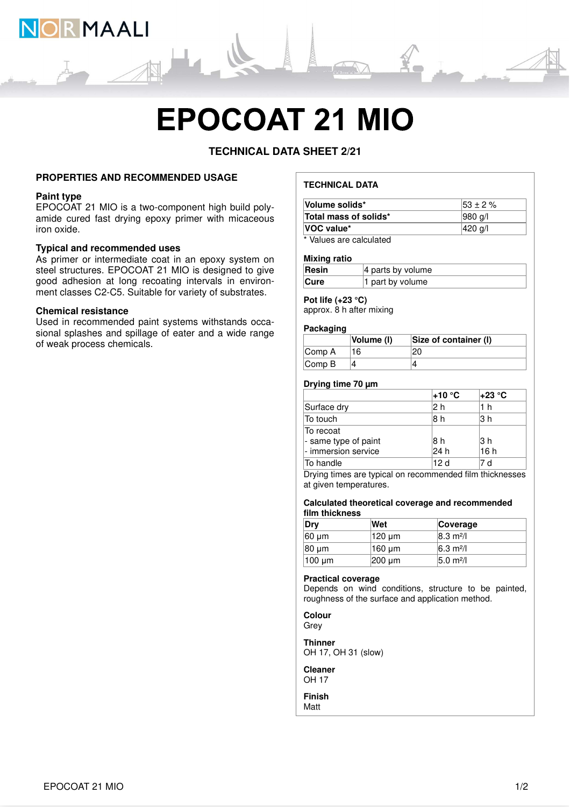

# **EPOCOAT 21 MIO**

**TECHNICAL DATA SHEET 2/21**

#### **PROPERTIES AND RECOMMENDED USAGE**

#### **Paint type**

EPOCOAT 21 MIO is a two-component high build polyamide cured fast drying epoxy primer with micaceous iron oxide.

# **Typical and recommended uses**

As primer or intermediate coat in an epoxy system on steel structures. EPOCOAT 21 MIO is designed to give good adhesion at long recoating intervals in environment classes C2-C5. Suitable for variety of substrates.

#### **Chemical resistance**

Used in recommended paint systems withstands occasional splashes and spillage of eater and a wide range of weak process chemicals.

# **TECHNICAL DATA**

| Volume solids*                | $153 \pm 2 \%$ |
|-------------------------------|----------------|
| Total mass of solids*         | 980 a/l        |
| VOC value*                    | 420 g/l        |
| * Malera a and a alardiate di |                |

Values are calculated

#### **Mixing ratio**

| Resin       | $ 4$ parts by volume |
|-------------|----------------------|
| <b>Cure</b> | 1 part by volume     |

# **Pot life (+23 °C)**

approx. 8 h after mixing

#### **Packaging**

|                             | Volume (I) | Size of container (I) |
|-----------------------------|------------|-----------------------|
| Comp A                      |            |                       |
| $\mathsf{Comp}\,\mathsf{B}$ |            |                       |

#### **Drying time 70 µm**

|                      | l+10 °C         | l+23 °C |
|----------------------|-----------------|---------|
| Surface dry          | 2 h             | 1 h     |
| To touch             | 8 h             | 3 h     |
| To recoat            |                 |         |
| - same type of paint | 18 h            | '3 h    |
| - immersion service  | 24 h            | 16h     |
| To handle            | 12 <sub>d</sub> | d       |

Drying times are typical on recommended film thicknesses at given temperatures.

#### **Calculated theoretical coverage and recommended film thickness**

| Dry         | Wet    | <b>Coverage</b>              |
|-------------|--------|------------------------------|
| $60 \mu m$  | 120 µm | $ 8.3 \text{ m}^2/\text{l} $ |
| $ 80 \mu m$ | 160 µm | $ 6.3 \text{ m}^2 $          |
| $100 \mu m$ | 200 um | $ 5.0 \text{ m}^2/\text{l} $ |

#### **Practical coverage**

Depends on wind conditions, structure to be painted, roughness of the surface and application method.

#### **Colour** Grey

**Thinner** OH 17, OH 31 (slow)

**Cleaner** OH 17

**Finish**

Matt